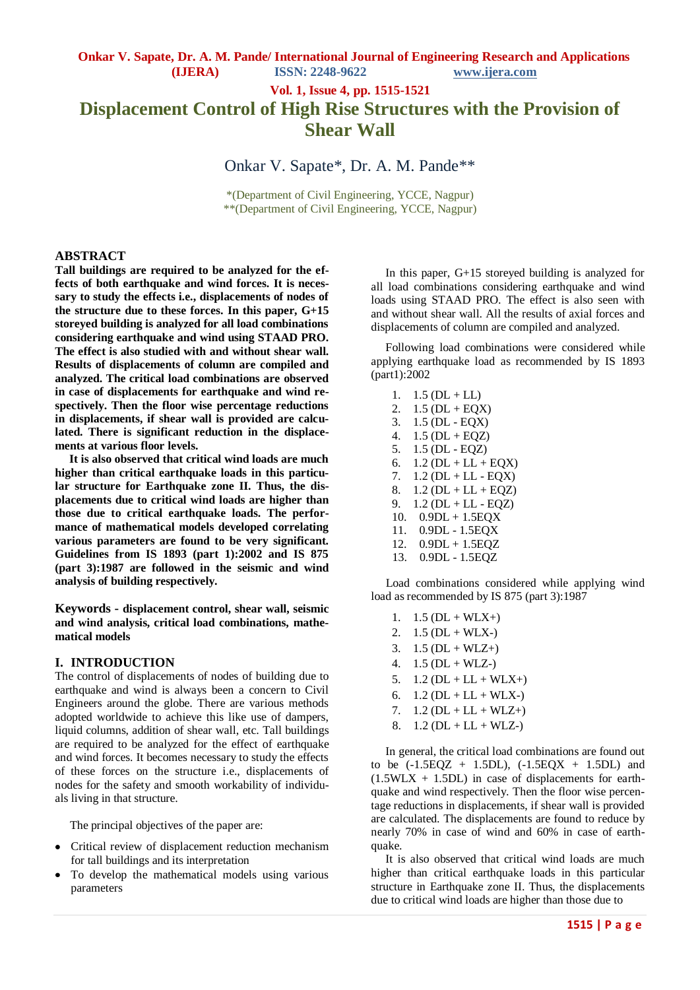**Vol. 1, Issue 4, pp. 1515-1521**

# **Displacement Control of High Rise Structures with the Provision of Shear Wall**

Onkar V. Sapate\*, Dr. A. M. Pande\*\*

\*(Department of Civil Engineering, YCCE, Nagpur) \*\*(Department of Civil Engineering, YCCE, Nagpur)

### **ABSTRACT**

**Tall buildings are required to be analyzed for the effects of both earthquake and wind forces. It is necessary to study the effects i.e., displacements of nodes of the structure due to these forces. In this paper, G+15 storeyed building is analyzed for all load combinations considering earthquake and wind using STAAD PRO. The effect is also studied with and without shear wall. Results of displacements of column are compiled and analyzed. The critical load combinations are observed in case of displacements for earthquake and wind respectively. Then the floor wise percentage reductions in displacements, if shear wall is provided are calculated. There is significant reduction in the displacements at various floor levels.**

 **It is also observed that critical wind loads are much higher than critical earthquake loads in this particular structure for Earthquake zone II. Thus, the displacements due to critical wind loads are higher than those due to critical earthquake loads. The performance of mathematical models developed correlating various parameters are found to be very significant. Guidelines from IS 1893 (part 1):2002 and IS 875 (part 3):1987 are followed in the seismic and wind analysis of building respectively.**

**Keywords - displacement control, shear wall, seismic and wind analysis, critical load combinations, mathematical models**

#### **I. INTRODUCTION**

The control of displacements of nodes of building due to earthquake and wind is always been a concern to Civil Engineers around the globe. There are various methods adopted worldwide to achieve this like use of dampers, liquid columns, addition of shear wall, etc. Tall buildings are required to be analyzed for the effect of earthquake and wind forces. It becomes necessary to study the effects of these forces on the structure i.e., displacements of nodes for the safety and smooth workability of individuals living in that structure.

The principal objectives of the paper are:

- Critical review of displacement reduction mechanism  $\bullet$ for tall buildings and its interpretation
- To develop the mathematical models using various parameters

 In this paper, G+15 storeyed building is analyzed for all load combinations considering earthquake and wind loads using STAAD PRO. The effect is also seen with and without shear wall. All the results of axial forces and displacements of column are compiled and analyzed.

 Following load combinations were considered while applying earthquake load as recommended by IS 1893 (part1):2002

1.  $1.5$  (DL + LL) 2.  $1.5$  (DL + EQX) 3. 1.5 (DL - EQX) 4.  $1.5$  (DL + EQZ) 5. 1.5 (DL - EQZ) 6.  $1.2$  (DL + LL + EQX) 7.  $1.2$  (DL + LL - EQX) 8.  $1.2$  (DL + LL + EQZ) 9. 1.2 (DL + LL - EQZ) 10.  $0.9DL + 1.5EOX$ 11. 0.9DL - 1.5EQX 12. 0.9DL + 1.5EQZ 13. 0.9DL - 1.5EQZ

 Load combinations considered while applying wind load as recommended by IS 875 (part 3):1987

- 1.  $1.5$  (DL + WLX+)
- 2.  $1.5$  (DL + WLX-)
- 3.  $1.5$  (DL + WLZ+)
- 4.  $1.5$  (DL + WLZ-)
- 5.  $1.2$  (DL + LL + WLX+)
- 6.  $1.2$  (DL + LL + WLX-)
- 7.  $1.2$  (DL + LL + WLZ+)
- 8.  $1.2$  (DL + LL + WLZ-)

 In general, the critical load combinations are found out to be  $(-1.5EQZ + 1.5DL)$ ,  $(-1.5EQX + 1.5DL)$  and  $(1.5W<sub>L</sub>X + 1.5DL)$  in case of displacements for earthquake and wind respectively. Then the floor wise percentage reductions in displacements, if shear wall is provided are calculated. The displacements are found to reduce by nearly 70% in case of wind and 60% in case of earthquake.

 It is also observed that critical wind loads are much higher than critical earthquake loads in this particular structure in Earthquake zone II. Thus, the displacements due to critical wind loads are higher than those due to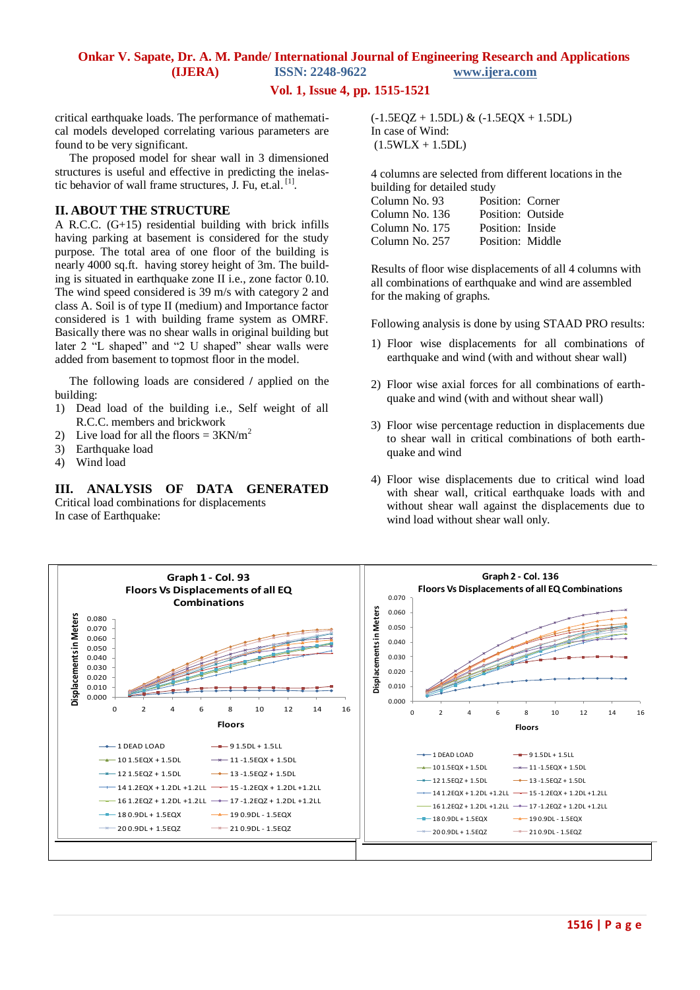### **Vol. 1, Issue 4, pp. 1515-1521**

critical earthquake loads. The performance of mathematical models developed correlating various parameters are found to be very significant.

 The proposed model for shear wall in 3 dimensioned structures is useful and effective in predicting the inelastic behavior of wall frame structures, J. Fu, et.al. [1].

### **II. ABOUT THE STRUCTURE**

A R.C.C. (G+15) residential building with brick infills having parking at basement is considered for the study purpose. The total area of one floor of the building is nearly 4000 sq.ft. having storey height of 3m. The building is situated in earthquake zone II i.e., zone factor 0.10. The wind speed considered is 39 m/s with category 2 and class A. Soil is of type II (medium) and Importance factor considered is 1 with building frame system as OMRF. Basically there was no shear walls in original building but later 2 "L shaped" and "2 U shaped" shear walls were added from basement to topmost floor in the model.

 The following loads are considered **/** applied on the building:

- 1) Dead load of the building i.e., Self weight of all R.C.C. members and brickwork
- 2) Live load for all the floors =  $3KN/m^2$
- 3) Earthquake load
- 4) Wind load

## **III. ANALYSIS OF DATA GENERATED**

Critical load combinations for displacements In case of Earthquake:

 $(-1.5EQZ + 1.5DL)$  &  $(-1.5EQX + 1.5DL)$ In case of Wind:  $(1.5WLX + 1.5DL)$ 

4 columns are selected from different locations in the building for detailed study Column No. 93 Position: Corner Column No. 136 Position: Outside Column No. 175 Position: Inside Column No. 257 Position: Middle

Results of floor wise displacements of all 4 columns with all combinations of earthquake and wind are assembled for the making of graphs.

Following analysis is done by using STAAD PRO results:

- 1) Floor wise displacements for all combinations of earthquake and wind (with and without shear wall)
- 2) Floor wise axial forces for all combinations of earthquake and wind (with and without shear wall)
- 3) Floor wise percentage reduction in displacements due to shear wall in critical combinations of both earthquake and wind
- 4) Floor wise displacements due to critical wind load with shear wall, critical earthquake loads with and without shear wall against the displacements due to wind load without shear wall only.

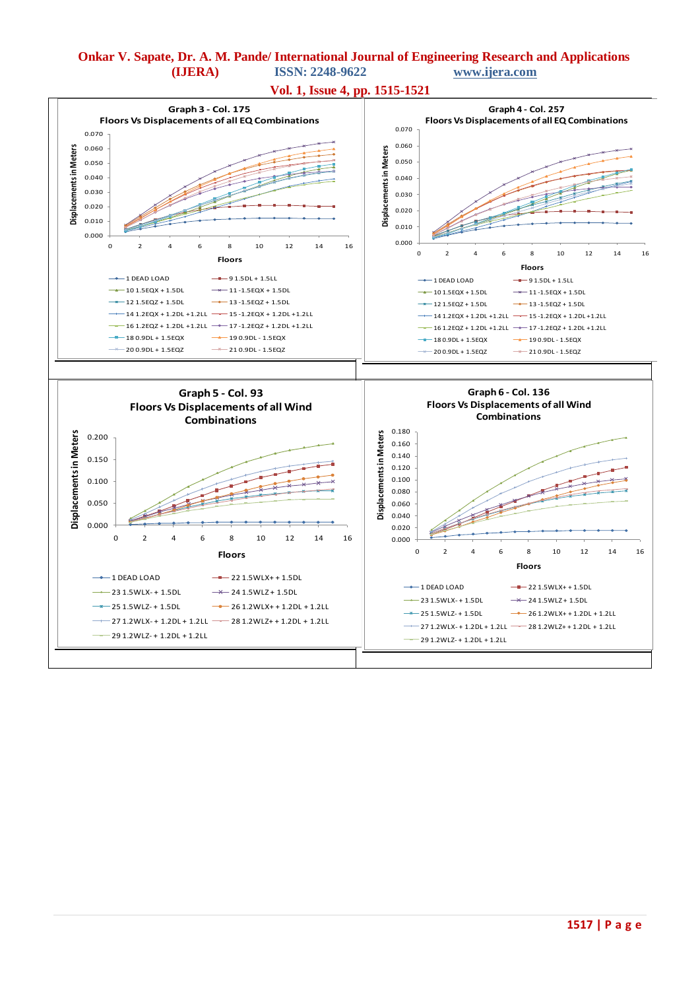

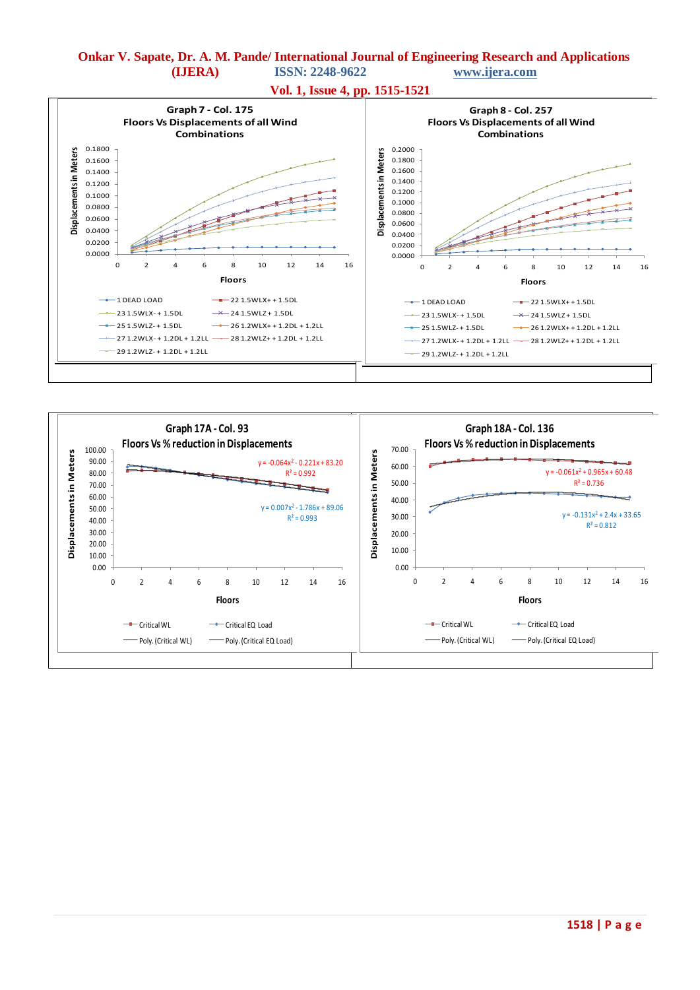





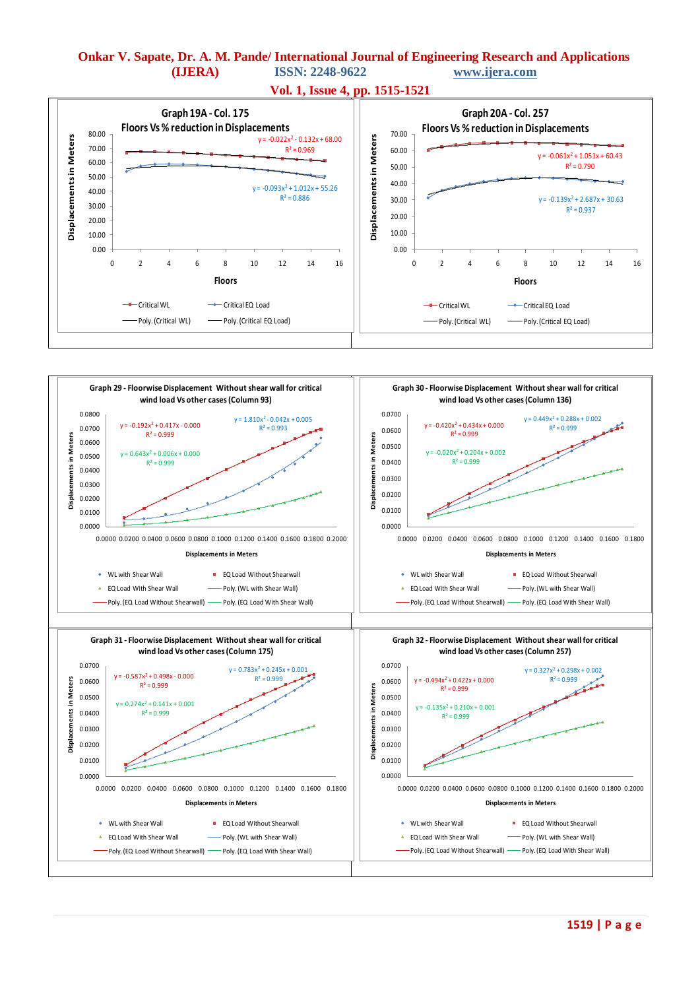

**Vol. 1, Issue 4, pp. 1515-1521**

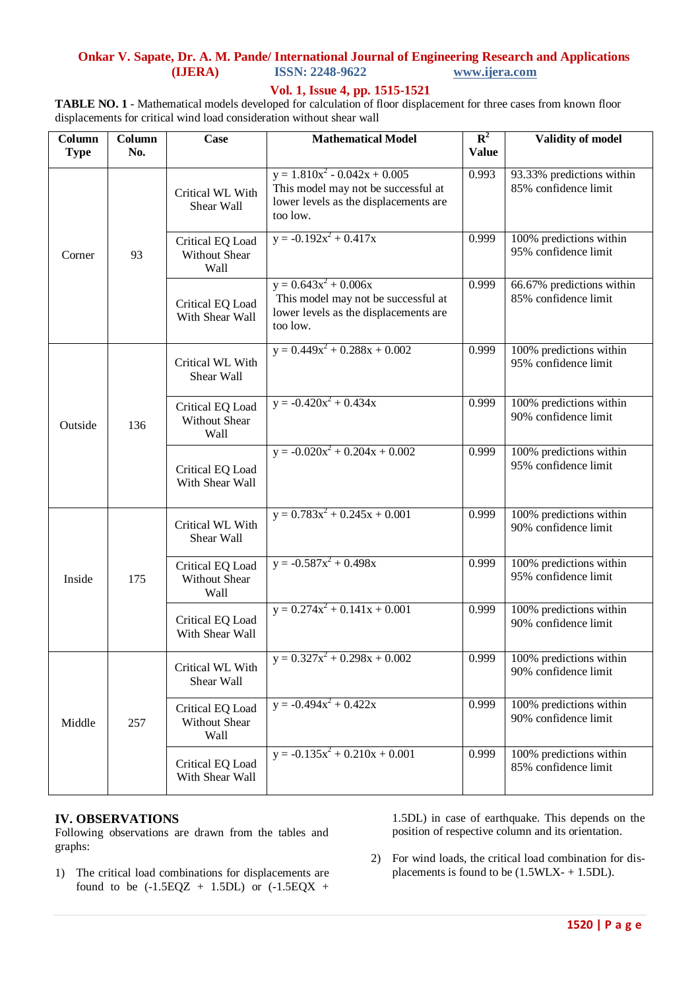# **Onkar V. Sapate, Dr. A. M. Pande/ International Journal of Engineering Research and Applications ISSN: 2248-9622**

### **Vol. 1, Issue 4, pp. 1515-1521**

**TABLE NO. 1** - Mathematical models developed for calculation of floor displacement for three cases from known floor displacements for critical wind load consideration without shear wall

| Column<br><b>Type</b> | Column<br>No. | Case                                      | <b>Mathematical Model</b>                                                                                                     | ${\bf R}^2$<br><b>Value</b> | <b>Validity of model</b>                          |
|-----------------------|---------------|-------------------------------------------|-------------------------------------------------------------------------------------------------------------------------------|-----------------------------|---------------------------------------------------|
| Corner                | 93            | Critical WL With<br>Shear Wall            | $y = 1.810x^{2} - 0.042x + 0.005$<br>This model may not be successful at<br>lower levels as the displacements are<br>too low. | 0.993                       | 93.33% predictions within<br>85% confidence limit |
|                       |               | Critical EQ Load<br>Without Shear<br>Wall | $y = -0.192x^2 + 0.417x$                                                                                                      | 0.999                       | 100% predictions within<br>95% confidence limit   |
|                       |               | Critical EQ Load<br>With Shear Wall       | $y = 0.643x^{2} + 0.006x$<br>This model may not be successful at<br>lower levels as the displacements are<br>too low.         | 0.999                       | 66.67% predictions within<br>85% confidence limit |
| Outside               | 136           | Critical WL With<br>Shear Wall            | $y = 0.449x^{2} + 0.288x + 0.002$                                                                                             | 0.999                       | 100% predictions within<br>95% confidence limit   |
|                       |               | Critical EQ Load<br>Without Shear<br>Wall | $y = -0.420x^{2} + 0.434x$                                                                                                    | 0.999                       | 100% predictions within<br>90% confidence limit   |
|                       |               | Critical EQ Load<br>With Shear Wall       | $y = -0.020x^{2} + 0.204x + 0.002$                                                                                            | 0.999                       | 100% predictions within<br>95% confidence limit   |
| Inside                | 175           | Critical WL With<br>Shear Wall            | $y = 0.783x^{2} + 0.245x + 0.001$                                                                                             | 0.999                       | 100% predictions within<br>90% confidence limit   |
|                       |               | Critical EQ Load<br>Without Shear<br>Wall | $y = -0.587x^{2} + 0.498x$                                                                                                    | 0.999                       | 100% predictions within<br>95% confidence limit   |
|                       |               | Critical EQ Load<br>With Shear Wall       | $y = 0.274x^{2} + 0.141x + 0.001$                                                                                             | 0.999                       | 100% predictions within<br>90% confidence limit   |
| Middle                | 257           | Critical WL With<br>Shear Wall            | $y = 0.327x^{2} + 0.298x + 0.002$                                                                                             | 0.999                       | 100% predictions within<br>90% confidence limit   |
|                       |               | Critical EQ Load<br>Without Shear<br>Wall | $y = -0.494x^{2} + 0.422x$                                                                                                    | 0.999                       | 100% predictions within<br>90% confidence limit   |
|                       |               | Critical EQ Load<br>With Shear Wall       | $y = -0.135x^{2} + 0.210x + 0.001$                                                                                            | 0.999                       | 100% predictions within<br>85% confidence limit   |

### **IV. OBSERVATIONS**

Following observations are drawn from the tables and graphs:

1) The critical load combinations for displacements are found to be  $(-1.5EQZ + 1.5DL)$  or  $(-1.5EQX +$ 

1.5DL) in case of earthquake. This depends on the position of respective column and its orientation.

2) For wind loads, the critical load combination for displacements is found to be (1.5WLX- + 1.5DL).